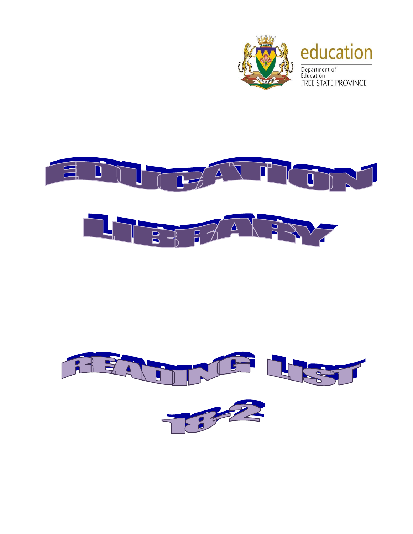



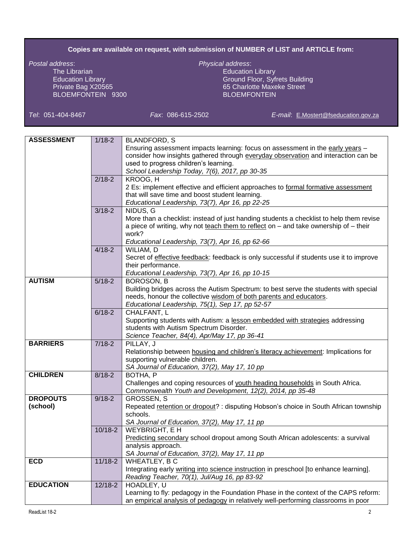## **Copies are available on request, with submission of NUMBER of LIST and ARTICLE from:**

*Postal address*: *Physical address*: The Librarian and Education Library<br>
Education Library<br>
Education Library<br>
Education Library<br>
Education Library BLOEMFONTEIN 9300

Ground Floor, Syfrets Building Private Bag X20565 65 Charlotte Maxeke Street<br>BLOEMFONTEIN 9300 65 Charlotte Maxeke Street

*Tel*: 051-404-8467 *Fax*: 086-615-2502 *E-mail*: [E.Mostert@fseducation.gov.za](mailto:E.Mostert@fseducation.gov.za)

| <b>ASSESSMENT</b> | $1/18 - 2$  | <b>BLANDFORD, S</b>                                                                             |
|-------------------|-------------|-------------------------------------------------------------------------------------------------|
|                   |             | Ensuring assessment impacts learning: focus on assessment in the early years -                  |
|                   |             | consider how insights gathered through everyday observation and interaction can be              |
|                   |             | used to progress children's learning.                                                           |
|                   |             | School Leadership Today, 7(6), 2017, pp 30-35                                                   |
|                   | $2/18-2$    | KROOG, H                                                                                        |
|                   |             | 2 Es: implement effective and efficient approaches to formal formative assessment               |
|                   |             | that will save time and boost student learning.                                                 |
|                   |             | Educational Leadership, 73(7), Apr 16, pp 22-25                                                 |
|                   | $3/18 - 2$  | NIDUS, G                                                                                        |
|                   |             | More than a checklist: instead of just handing students a checklist to help them revise         |
|                   |             | a piece of writing, why not teach them to reflect on - and take ownership of - their            |
|                   |             | work?                                                                                           |
|                   |             | Educational Leadership, 73(7), Apr 16, pp 62-66                                                 |
|                   | $4/18 - 2$  | WILIAM, D                                                                                       |
|                   |             | Secret of <i>effective feedback</i> : feedback is only successful if students use it to improve |
|                   |             | their performance.                                                                              |
|                   |             | Educational Leadership, 73(7), Apr 16, pp 10-15                                                 |
| <b>AUTISM</b>     | $5/18-2$    | BOROSON, B                                                                                      |
|                   |             | Building bridges across the Autism Spectrum: to best serve the students with special            |
|                   |             | needs, honour the collective wisdom of both parents and educators.                              |
|                   |             | Educational Leadership, 75(1), Sep 17, pp 52-57                                                 |
|                   | $6/18 - 2$  | CHALFANT, L                                                                                     |
|                   |             | Supporting students with Autism: a lesson embedded with strategies addressing                   |
|                   |             | students with Autism Spectrum Disorder.                                                         |
|                   |             | Science Teacher, 84(4), Apr/May 17, pp 36-41                                                    |
| <b>BARRIERS</b>   | $7/18-2$    | PILLAY, J                                                                                       |
|                   |             | Relationship between housing and children's literacy achievement: Implications for              |
|                   |             | supporting vulnerable children.                                                                 |
|                   |             | SA Journal of Education, 37(2), May 17, 10 pp                                                   |
| <b>CHILDREN</b>   | $8/18 - 2$  | BOTHA, P                                                                                        |
|                   |             | Challenges and coping resources of youth heading households in South Africa.                    |
|                   |             | Commonwealth Youth and Development, 12(2), 2014, pp 35-48                                       |
| <b>DROPOUTS</b>   | $9/18 - 2$  | <b>GROSSEN, S</b>                                                                               |
| (school)          |             | Repeated retention or dropout? : disputing Hobson's choice in South African township            |
|                   |             | schools.                                                                                        |
|                   |             | SA Journal of Education, 37(2), May 17, 11 pp                                                   |
|                   | $10/18 - 2$ | WEYBRIGHT, E H                                                                                  |
|                   |             | Predicting secondary school dropout among South African adolescents: a survival                 |
|                   |             | analysis approach.                                                                              |
|                   |             | SA Journal of Education, 37(2), May 17, 11 pp                                                   |
| <b>ECD</b>        | $11/18 - 2$ | <b>WHEATLEY, BC</b>                                                                             |
|                   |             | Integrating early writing into science instruction in preschool [to enhance learning].          |
|                   |             | Reading Teacher, 70(1), Jul/Aug 16, pp 83-92                                                    |
| <b>EDUCATION</b>  | $12/18 - 2$ | HOADLEY, U                                                                                      |
|                   |             | Learning to fly: pedagogy in the Foundation Phase in the context of the CAPS reform:            |
|                   |             | an empirical analysis of pedagogy in relatively well-performing classrooms in poor              |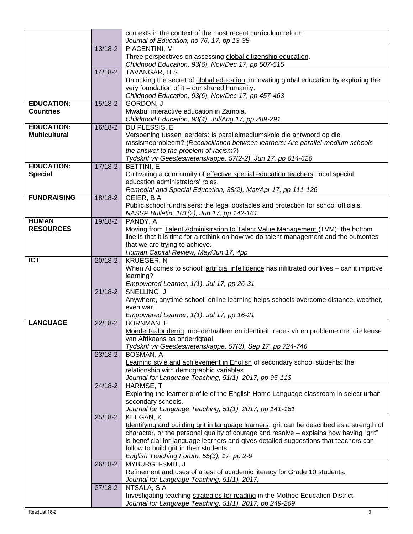|                      |           | contexts in the context of the most recent curriculum reform.                               |
|----------------------|-----------|---------------------------------------------------------------------------------------------|
|                      |           | Journal of Education, no 76, 17, pp 13-38                                                   |
|                      | $13/18-2$ | PIACENTINI, M                                                                               |
|                      |           | Three perspectives on assessing global citizenship education.                               |
|                      |           | Childhood Education, 93(6), Nov/Dec 17, pp 507-515                                          |
|                      | $14/18-2$ | <b>TAVANGAR, H S</b>                                                                        |
|                      |           | Unlocking the secret of global education: innovating global education by exploring the      |
|                      |           | very foundation of it - our shared humanity.                                                |
|                      |           | Childhood Education, 93(6), Nov/Dec 17, pp 457-463                                          |
| <b>EDUCATION:</b>    | $15/18-2$ | GORDON, J                                                                                   |
| <b>Countries</b>     |           | Mwabu: interactive education in Zambia.                                                     |
|                      |           | Childhood Education, 93(4), Jul/Aug 17, pp 289-291                                          |
| <b>EDUCATION:</b>    | 16/18-2   | DU PLESSIS, E                                                                               |
| <b>Multicultural</b> |           | Versoening tussen leerders: is parallelmediumskole die antwoord op die                      |
|                      |           | rassismeprobleem? (Reconciliation between learners: Are parallel-medium schools             |
|                      |           | the answer to the problem of racism?)                                                       |
|                      |           | Tydskrif vir Geesteswetenskappe, 57(2-2), Jun 17, pp 614-626                                |
| <b>EDUCATION:</b>    | $17/18-2$ | BETTINI, E                                                                                  |
| <b>Special</b>       |           | Cultivating a community of effective special education teachers: local special              |
|                      |           | education administrators' roles.                                                            |
|                      |           | Remedial and Special Education, 38(2), Mar/Apr 17, pp 111-126                               |
| <b>FUNDRAISING</b>   | 18/18-2   | GEIER, BA                                                                                   |
|                      |           | Public school fundraisers: the legal obstacles and protection for school officials.         |
|                      |           | NASSP Bulletin, 101(2), Jun 17, pp 142-161                                                  |
| <b>HUMAN</b>         | 19/18-2   | PANDY, A                                                                                    |
| <b>RESOURCES</b>     |           | Moving from Talent Administration to Talent Value Management (TVM): the bottom              |
|                      |           | line is that it is time for a rethink on how we do talent management and the outcomes       |
|                      |           | that we are trying to achieve.                                                              |
|                      |           | Human Capital Review, May/Jun 17, 4pp                                                       |
| <b>ICT</b>           | 20/18-2   | <b>KRUEGER, N</b>                                                                           |
|                      |           | When AI comes to school: artificial intelligence has infiltrated our lives - can it improve |
|                      |           | learning?                                                                                   |
|                      | $21/18-2$ | Empowered Learner, 1(1), Jul 17, pp 26-31<br>SNELLING, J                                    |
|                      |           | Anywhere, anytime school: online learning helps schools overcome distance, weather,         |
|                      |           | even war.                                                                                   |
|                      |           | Empowered Learner, 1(1), Jul 17, pp 16-21                                                   |
| <b>LANGUAGE</b>      | $22/18-2$ | <b>BORNMAN, E</b>                                                                           |
|                      |           | Moedertaalonderrig, moedertaalleer en identiteit: redes vir en probleme met die keuse       |
|                      |           | van Afrikaans as onderrigtaal                                                               |
|                      |           | Tydskrif vir Geesteswetenskappe, 57(3), Sep 17, pp 724-746                                  |
|                      | $23/18-2$ | BOSMAN, A                                                                                   |
|                      |           | Learning style and achievement in English of secondary school students: the                 |
|                      |           | relationship with demographic variables.                                                    |
|                      |           | Journal for Language Teaching, 51(1), 2017, pp 95-113                                       |
|                      | $24/18-2$ | HARMSE, T                                                                                   |
|                      |           | Exploring the learner profile of the English Home Language classroom in select urban        |
|                      |           | secondary schools.                                                                          |
|                      |           | Journal for Language Teaching, 51(1), 2017, pp 141-161                                      |
|                      | $25/18-2$ | KEEGAN, K                                                                                   |
|                      |           | Identifying and building grit in language learners: grit can be described as a strength of  |
|                      |           | character, or the personal quality of courage and resolve - explains how having "grit"      |
|                      |           | is beneficial for language learners and gives detailed suggestions that teachers can        |
|                      |           | follow to build grit in their students.                                                     |
|                      |           | English Teaching Forum, 55(3), 17, pp 2-9                                                   |
|                      | $26/18-2$ | MYBURGH-SMIT, J                                                                             |
|                      |           | Refinement and uses of a test of academic literacy for Grade 10 students.                   |
|                      |           | Journal for Language Teaching, 51(1), 2017,                                                 |
|                      | $27/18-2$ | NTSALA, SA                                                                                  |
|                      |           | Investigating teaching strategies for reading in the Motheo Education District.             |
|                      |           | Journal for Language Teaching, 51(1), 2017, pp 249-269                                      |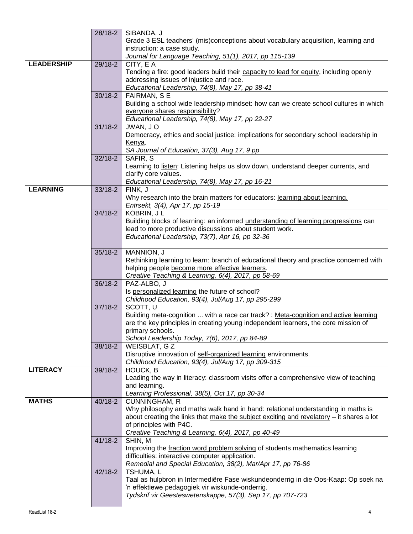|                   | $28/18-2$   | SIBANDA, J                                                                                 |
|-------------------|-------------|--------------------------------------------------------------------------------------------|
|                   |             | Grade 3 ESL teachers' (mis)conceptions about vocabulary acquisition, learning and          |
|                   |             | instruction: a case study.                                                                 |
|                   |             | Journal for Language Teaching, 51(1), 2017, pp 115-139                                     |
| <b>LEADERSHIP</b> | 29/18-2     | CITY, E A                                                                                  |
|                   |             | Tending a fire: good leaders build their capacity to lead for equity, including openly     |
|                   |             | addressing issues of injustice and race.                                                   |
|                   |             | Educational Leadership, 74(8), May 17, pp 38-41                                            |
|                   | $30/18 - 2$ | FAIRMAN, SE                                                                                |
|                   |             | Building a school wide leadership mindset: how can we create school cultures in which      |
|                   |             | everyone shares responsibility?                                                            |
|                   |             | Educational Leadership, 74(8), May 17, pp 22-27                                            |
|                   | $31/18 - 2$ | JWAN, JO                                                                                   |
|                   |             | Democracy, ethics and social justice: implications for secondary school leadership in      |
|                   |             | Kenya.                                                                                     |
|                   |             | SA Journal of Education, 37(3), Aug 17, 9 pp                                               |
|                   | $32/18 - 2$ | SAFIR, S                                                                                   |
|                   |             | Learning to listen: Listening helps us slow down, understand deeper currents, and          |
|                   |             | clarify core values.                                                                       |
|                   |             | Educational Leadership, 74(8), May 17, pp 16-21                                            |
| <b>LEARNING</b>   | $33/18 - 2$ | FINK, J                                                                                    |
|                   |             | Why research into the brain matters for educators: learning about learning.                |
|                   |             | Entrsekt, 3(4), Apr 17, pp 15-19                                                           |
|                   | $34/18 - 2$ | KOBRIN, JL                                                                                 |
|                   |             | Building blocks of learning: an informed <b>understanding of learning progressions</b> can |
|                   |             | lead to more productive discussions about student work.                                    |
|                   |             | Educational Leadership, 73(7), Apr 16, pp 32-36                                            |
|                   |             |                                                                                            |
|                   | $35/18 - 2$ | MANNION, J                                                                                 |
|                   |             | Rethinking learning to learn: branch of educational theory and practice concerned with     |
|                   |             | helping people become more effective learners.                                             |
|                   |             | Creative Teaching & Learning, 6(4), 2017, pp 58-69                                         |
|                   | 36/18-2     | PAZ-ALBO, J                                                                                |
|                   |             | Is personalized learning the future of school?                                             |
|                   | $37/18 - 2$ | Childhood Education, 93(4), Jul/Aug 17, pp 295-299<br>SCOTT, U                             |
|                   |             | Building meta-cognition  with a race car track? : Meta-cognition and active learning       |
|                   |             | are the key principles in creating young independent learners, the core mission of         |
|                   |             | primary schools.                                                                           |
|                   |             | School Leadership Today, 7(6), 2017, pp 84-89                                              |
|                   | 38/18-2     | WEISBLAT, G Z                                                                              |
|                   |             | Disruptive innovation of self-organized learning environments.                             |
|                   |             | Childhood Education, 93(4), Jul/Aug 17, pp 309-315                                         |
| <b>LITERACY</b>   | 39/18-2     | HOUCK, B                                                                                   |
|                   |             | Leading the way in literacy: classroom visits offer a comprehensive view of teaching       |
|                   |             | and learning.                                                                              |
|                   |             | Learning Professional, 38(5), Oct 17, pp 30-34                                             |
| <b>MATHS</b>      | 40/18-2     | <b>CUNNINGHAM, R</b>                                                                       |
|                   |             | Why philosophy and maths walk hand in hand: relational understanding in maths is           |
|                   |             | about creating the links that make the subject exciting and revelatory - it shares a lot   |
|                   |             | of principles with P4C.                                                                    |
|                   |             | Creative Teaching & Learning, 6(4), 2017, pp 40-49                                         |
|                   | $41/18 - 2$ | SHIN, M                                                                                    |
|                   |             | Improving the fraction word problem solving of students mathematics learning               |
|                   |             | difficulties: interactive computer application.                                            |
|                   |             | Remedial and Special Education, 38(2), Mar/Apr 17, pp 76-86                                |
|                   | $42/18-2$   | TSHUMA, L                                                                                  |
|                   |             | Taal as hulpbron in Intermediêre Fase wiskundeonderrig in die Oos-Kaap: Op soek na         |
|                   |             | 'n effektiewe pedagogiek vir wiskunde-onderrig.                                            |
|                   |             | Tydskrif vir Geesteswetenskappe, 57(3), Sep 17, pp 707-723                                 |
|                   |             |                                                                                            |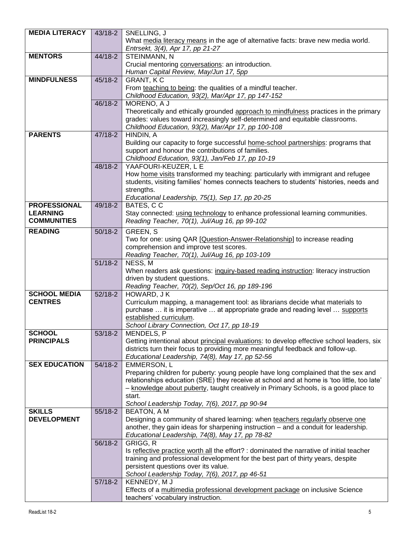| <b>MEDIA LITERACY</b> | 43/18-2   | SNELLING, J                                                                                |
|-----------------------|-----------|--------------------------------------------------------------------------------------------|
|                       |           | What media literacy means in the age of alternative facts: brave new media world.          |
|                       |           | Entrsekt, 3(4), Apr 17, pp 21-27                                                           |
| <b>MENTORS</b>        | 44/18-2   | STEINMANN, N                                                                               |
|                       |           | Crucial mentoring conversations: an introduction.                                          |
|                       |           |                                                                                            |
| <b>MINDFULNESS</b>    |           | Human Capital Review, May/Jun 17, 5pp                                                      |
|                       | 45/18-2   | <b>GRANT, KC</b>                                                                           |
|                       |           | From teaching to being: the qualities of a mindful teacher.                                |
|                       |           | Childhood Education, 93(2), Mar/Apr 17, pp 147-152                                         |
|                       | $46/18-2$ | MORENO, A J                                                                                |
|                       |           | Theoretically and ethically grounded approach to mindfulness practices in the primary      |
|                       |           | grades: values toward increasingly self-determined and equitable classrooms.               |
|                       |           | Childhood Education, 93(2), Mar/Apr 17, pp 100-108                                         |
| <b>PARENTS</b>        | 47/18-2   | HINDIN, A                                                                                  |
|                       |           | Building our capacity to forge successful home-school partnerships: programs that          |
|                       |           | support and honour the contributions of families.                                          |
|                       |           | Childhood Education, 93(1), Jan/Feb 17, pp 10-19                                           |
|                       | 48/18-2   | YAAFOURI-KEUZER, L E                                                                       |
|                       |           | How home visits transformed my teaching: particularly with immigrant and refugee           |
|                       |           | students, visiting families' homes connects teachers to students' histories, needs and     |
|                       |           | strengths.                                                                                 |
|                       |           | Educational Leadership, 75(1), Sep 17, pp 20-25                                            |
| <b>PROFESSIONAL</b>   | 49/18-2   | BATES, CC                                                                                  |
| <b>LEARNING</b>       |           | Stay connected: using technology to enhance professional learning communities.             |
| <b>COMMUNITIES</b>    |           | Reading Teacher, 70(1), Jul/Aug 16, pp 99-102                                              |
| <b>READING</b>        |           |                                                                                            |
|                       | $50/18-2$ | <b>GREEN, S</b>                                                                            |
|                       |           | Two for one: using QAR [Question-Answer-Relationship] to increase reading                  |
|                       |           | comprehension and improve test scores.                                                     |
|                       |           | Reading Teacher, 70(1), Jul/Aug 16, pp 103-109                                             |
|                       | $51/18-2$ | NESS, $\overline{M}$                                                                       |
|                       |           | When readers ask questions: inquiry-based reading instruction: literacy instruction        |
|                       |           | driven by student questions.                                                               |
|                       |           | Reading Teacher, 70(2), Sep/Oct 16, pp 189-196                                             |
| <b>SCHOOL MEDIA</b>   | $52/18-2$ | HOWARD, JK                                                                                 |
| <b>CENTRES</b>        |           | Curriculum mapping, a management tool: as librarians decide what materials to              |
|                       |           | purchase  it is imperative  at appropriate grade and reading level  supports               |
|                       |           | established curriculum.                                                                    |
|                       |           | School Library Connection, Oct 17, pp 18-19                                                |
| <b>SCHOOL</b>         | $53/18-2$ | MENDELS, P                                                                                 |
| <b>PRINCIPALS</b>     |           | Getting intentional about principal evaluations: to develop effective school leaders, six  |
|                       |           | districts turn their focus to providing more meaningful feedback and follow-up.            |
|                       |           | Educational Leadership, 74(8), May 17, pp 52-56                                            |
| <b>SEX EDUCATION</b>  | 54/18-2   | EMMERSON, L                                                                                |
|                       |           | Preparing children for puberty: young people have long complained that the sex and         |
|                       |           | relationships education (SRE) they receive at school and at home is 'too little, too late' |
|                       |           | - knowledge about puberty, taught creatively in Primary Schools, is a good place to        |
|                       |           | start.                                                                                     |
|                       |           | School Leadership Today, 7(6), 2017, pp 90-94                                              |
| <b>SKILLS</b>         | 55/18-2   | <b>BEATON, A M</b>                                                                         |
| <b>DEVELOPMENT</b>    |           | Designing a community of shared learning: when teachers regularly observe one              |
|                       |           | another, they gain ideas for sharpening instruction - and a conduit for leadership.        |
|                       |           | Educational Leadership, 74(8), May 17, pp 78-82                                            |
|                       | 56/18-2   | GRIGG, R                                                                                   |
|                       |           | Is reflective practice worth all the effort? : dominated the narrative of initial teacher  |
|                       |           | training and professional development for the best part of thirty years, despite           |
|                       |           | persistent questions over its value.                                                       |
|                       |           | School Leadership Today, 7(6), 2017, pp 46-51                                              |
|                       | $57/18-2$ | KENNEDY, MJ                                                                                |
|                       |           | Effects of a multimedia professional development package on inclusive Science              |
|                       |           | teachers' vocabulary instruction.                                                          |
|                       |           |                                                                                            |